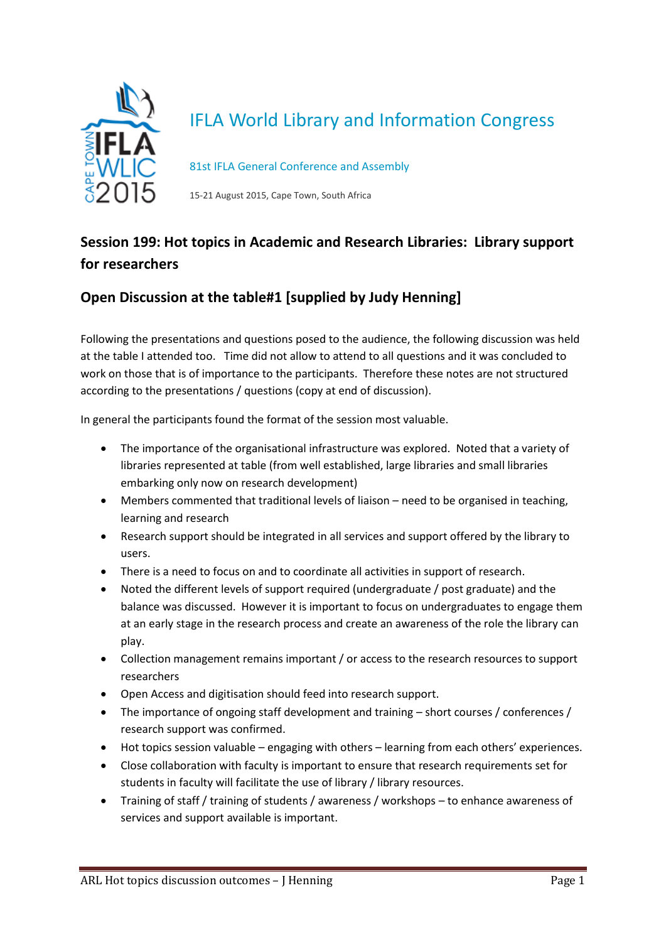

## IFLA World Library and Information Congress

81st IFLA General Conference and Assembly

15-21 August 2015, Cape Town, South Africa

## **Session 199: Hot topics in Academic and Research Libraries: Library support for researchers**

## **Open Discussion at the table#1 [supplied by Judy Henning]**

Following the presentations and questions posed to the audience, the following discussion was held at the table I attended too. Time did not allow to attend to all questions and it was concluded to work on those that is of importance to the participants. Therefore these notes are not structured according to the presentations / questions (copy at end of discussion).

In general the participants found the format of the session most valuable.

- The importance of the organisational infrastructure was explored. Noted that a variety of libraries represented at table (from well established, large libraries and small libraries embarking only now on research development)
- Members commented that traditional levels of liaison need to be organised in teaching, learning and research
- Research support should be integrated in all services and support offered by the library to users.
- There is a need to focus on and to coordinate all activities in support of research.
- Noted the different levels of support required (undergraduate / post graduate) and the balance was discussed. However it is important to focus on undergraduates to engage them at an early stage in the research process and create an awareness of the role the library can play.
- Collection management remains important / or access to the research resources to support researchers
- Open Access and digitisation should feed into research support.
- The importance of ongoing staff development and training short courses / conferences / research support was confirmed.
- Hot topics session valuable engaging with others learning from each others' experiences.
- Close collaboration with faculty is important to ensure that research requirements set for students in faculty will facilitate the use of library / library resources.
- Training of staff / training of students / awareness / workshops to enhance awareness of services and support available is important.